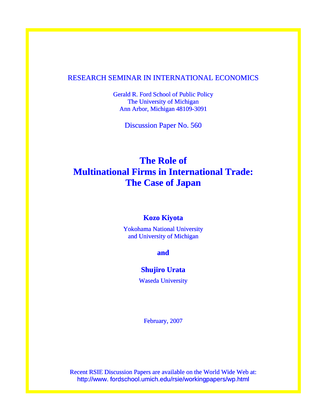# RESEARCH SEMINAR IN INTERNATIONAL ECONOMICS

Gerald R. Ford School of Public Policy The University of Michigan Ann Arbor, Michigan 48109-3091

Discussion Paper No. 560

# **The Role of Multinational Firms in International Trade: The Case of Japan**

# **Kozo Kiyota**

Yokohama National University and University of Michigan

**and** 

# **Shujiro Urata**

Waseda University

February, 2007

Recent RSIE Discussion Papers are available on the World Wide Web at: http://www. fordschool.umich.edu/rsie/workingpapers/wp.html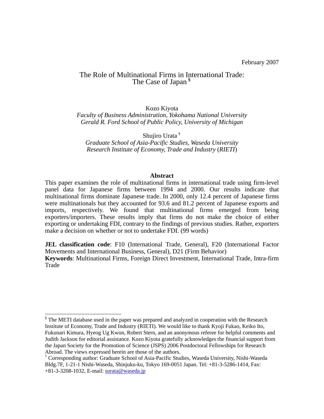# The Role of Multinational Firms in I[nt](#page-1-0)ernational Trade: The Case of Japan<sup>[§](#page-1-0)</sup>

Kozo Kiyota

*Faculty of Business Administration, Yokohama National University Gerald R. Ford School of Public Policy, University of Michigan* 

Shujiro Urata[†](#page-1-1) *Graduate School of Asia-Pacific Studies, Waseda University Research Institute of Economy, Trade and Industry* (*RIETI*)

### **Abstract**

This paper examines the role of multinational firms in international trade using firm-level panel data for Japanese firms between 1994 and 2000. Our results indicate that multinational firms dominate Japanese trade. In 2000, only 12.4 percent of Japanese firms were multinationals but they accounted for 93.6 and 81.2 percent of Japanese exports and imports, respectively. We found that multinational firms emerged from being exporters/importers. These results imply that firms do not make the choice of either exporting or undertaking FDI, contrary to the findings of previous studies. Rather, exporters make a decision on whether or not to undertake FDI. (99 words)

**JEL classification code**: F10 (International Trade, General), F20 (International Factor Movements and International Business, General), D21 (Firm Behavior)

**Keywords**: Multinational Firms, Foreign Direct Investment, International Trade, Intra-firm Trade

<u>.</u>

<span id="page-1-0"></span><sup>&</sup>lt;sup>§</sup> The METI database used in the paper was prepared and analyzed in cooperation with the Research Institute of Economy, Trade and Industry (RIETI). We would like to thank Kyoji Fukao, Keiko Ito, Fukunari Kimura, Hyeog Ug Kwon, Robert Stern, and an anonymous referee for helpful comments and Judith Jackson for editorial assistance. Kozo Kiyota gratefully acknowledges the financial support from the Japan Society for the Promotion of Science (JSPS) 2006 Postdoctoral Fellowships for Research Abroad. The views expressed herein are those of the authors.

<span id="page-1-1"></span><sup>†</sup> Corresponding author: Graduate School of Asia-Pacific Studies, Waseda University, Nishi-Waseda Bldg.7F, 1-21-1 Nishi-Waseda, Shinjuku-ku, Tokyo 169-0051 Japan. Tel: +81-3-5286-1414, Fax: +81-3-3208-1032, E-mail: [surata@waseda.jp](mailto:surata@waseda.jp)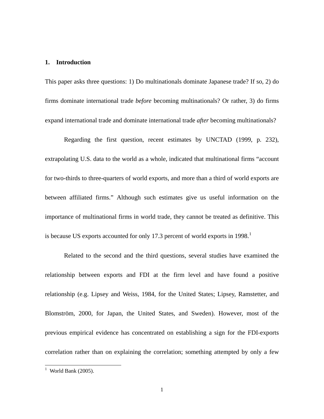### **1. Introduction**

This paper asks three questions: 1) Do multinationals dominate Japanese trade? If so, 2) do firms dominate international trade *before* becoming multinationals? Or rather, 3) do firms expand international trade and dominate international trade *after* becoming multinationals?

Regarding the first question, recent estimates by UNCTAD (1999, p. 232), extrapolating U.S. data to the world as a whole, indicated that multinational firms "account for two-thirds to three-quarters of world exports, and more than a third of world exports are between affiliated firms." Although such estimates give us useful information on the importance of multinational firms in world trade, they cannot be treated as definitive. This is because US exports accounted for only [1](#page-2-0)7.3 percent of world exports in  $1998<sup>1</sup>$ 

Related to the second and the third questions, several studies have examined the relationship between exports and FDI at the firm level and have found a positive relationship (e.g. Lipsey and Weiss, 1984, for the United States; Lipsey, Ramstetter, and Blomström, 2000, for Japan, the United States, and Sweden). However, most of the previous empirical evidence has concentrated on establishing a sign for the FDI-exports correlation rather than on explaining the correlation; something attempted by only a few

<span id="page-2-0"></span> $\frac{1}{1}$  World Bank (2005).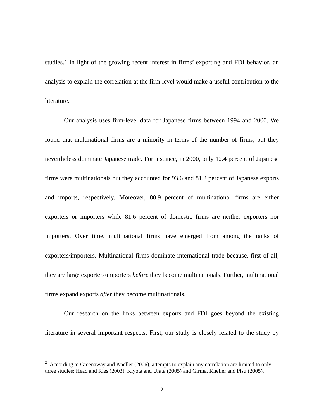studies.<sup>[2](#page-3-0)</sup> In light of the growing recent interest in firms' exporting and FDI behavior, an analysis to explain the correlation at the firm level would make a useful contribution to the literature.

Our analysis uses firm-level data for Japanese firms between 1994 and 2000. We found that multinational firms are a minority in terms of the number of firms, but they nevertheless dominate Japanese trade. For instance, in 2000, only 12.4 percent of Japanese firms were multinationals but they accounted for 93.6 and 81.2 percent of Japanese exports and imports, respectively. Moreover, 80.9 percent of multinational firms are either exporters or importers while 81.6 percent of domestic firms are neither exporters nor importers. Over time, multinational firms have emerged from among the ranks of exporters/importers. Multinational firms dominate international trade because, first of all, they are large exporters/importers *before* they become multinationals. Further, multinational firms expand exports *after* they become multinationals.

Our research on the links between exports and FDI goes beyond the existing literature in several important respects. First, our study is closely related to the study by

-

<span id="page-3-0"></span> $2$  According to Greenaway and Kneller (2006), attempts to explain any correlation are limited to only three studies: Head and Ries (2003), Kiyota and Urata (2005) and Girma, Kneller and Pisu (2005).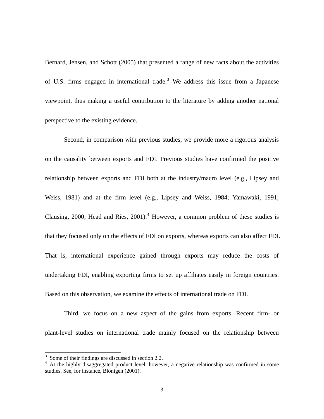Bernard, Jensen, and Schott (2005) that presented a range of new facts about the activities of U.S. firms engaged in international trade.<sup>[3](#page-4-0)</sup> We address this issue from a Japanese viewpoint, thus making a useful contribution to the literature by adding another national perspective to the existing evidence.

Second, in comparison with previous studies, we provide more a rigorous analysis on the causality between exports and FDI. Previous studies have confirmed the positive relationship between exports and FDI both at the industry/macro level (e.g., Lipsey and Weiss, 1981) and at the firm level (e.g., Lipsey and Weiss, 1984; Yamawaki, 1991; Clausing, 2000; Head and Ries,  $2001$ ).<sup>[4](#page-4-1)</sup> However, a common problem of these studies is that they focused only on the effects of FDI on exports, whereas exports can also affect FDI. That is, international experience gained through exports may reduce the costs of undertaking FDI, enabling exporting firms to set up affiliates easily in foreign countries. Based on this observation, we examine the effects of international trade on FDI.

Third, we focus on a new aspect of the gains from exports. Recent firm- or plant-level studies on international trade mainly focused on the relationship between

-

<span id="page-4-0"></span><sup>&</sup>lt;sup>3</sup> Some of their findings are discussed in section 2.2.

<span id="page-4-1"></span><sup>&</sup>lt;sup>4</sup> At the highly disaggregated product level, however, a negative relationship was confirmed in some studies. See, for instance, Blonigen (2001).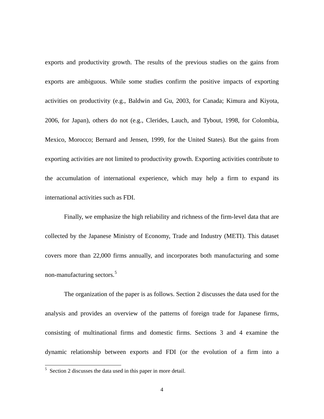exports and productivity growth. The results of the previous studies on the gains from exports are ambiguous. While some studies confirm the positive impacts of exporting activities on productivity (e.g., Baldwin and Gu, 2003, for Canada; Kimura and Kiyota, 2006, for Japan), others do not (e.g., Clerides, Lauch, and Tybout, 1998, for Colombia, Mexico, Morocco; Bernard and Jensen, 1999, for the United States). But the gains from exporting activities are not limited to productivity growth. Exporting activities contribute to the accumulation of international experience, which may help a firm to expand its international activities such as FDI.

Finally, we emphasize the high reliability and richness of the firm-level data that are collected by the Japanese Ministry of Economy, Trade and Industry (METI). This dataset covers more than 22,000 firms annually, and incorporates both manufacturing and some non-manufacturing sectors.[5](#page-5-0)

The organization of the paper is as follows. Section 2 discusses the data used for the analysis and provides an overview of the patterns of foreign trade for Japanese firms, consisting of multinational firms and domestic firms. Sections 3 and 4 examine the dynamic relationship between exports and FDI (or the evolution of a firm into a

<u>.</u>

<span id="page-5-0"></span> $5$  Section 2 discusses the data used in this paper in more detail.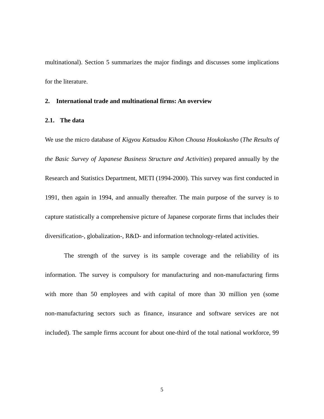multinational). Section 5 summarizes the major findings and discusses some implications for the literature.

### **2. International trade and multinational firms: An overview**

# **2.1. The data**

We use the micro database of *Kigyou Katsudou Kihon Chousa Houkokusho* (*The Results of the Basic Survey of Japanese Business Structure and Activities*) prepared annually by the Research and Statistics Department, METI (1994-2000). This survey was first conducted in 1991, then again in 1994, and annually thereafter. The main purpose of the survey is to capture statistically a comprehensive picture of Japanese corporate firms that includes their diversification-, globalization-, R&D- and information technology-related activities.

The strength of the survey is its sample coverage and the reliability of its information. The survey is compulsory for manufacturing and non-manufacturing firms with more than 50 employees and with capital of more than 30 million yen (some non-manufacturing sectors such as finance, insurance and software services are not included). The sample firms account for about one-third of the total national workforce, 99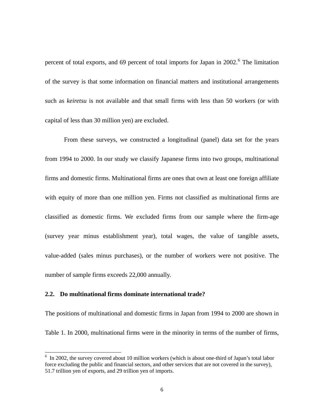percent of total exports, and [6](#page-7-0)9 percent of total imports for Japan in 2002.<sup>6</sup> The limitation of the survey is that some information on financial matters and institutional arrangements such as *keiretsu* is not available and that small firms with less than 50 workers (or with capital of less than 30 million yen) are excluded.

From these surveys, we constructed a longitudinal (panel) data set for the years from 1994 to 2000. In our study we classify Japanese firms into two groups, multinational firms and domestic firms. Multinational firms are ones that own at least one foreign affiliate with equity of more than one million yen. Firms not classified as multinational firms are classified as domestic firms. We excluded firms from our sample where the firm-age (survey year minus establishment year), total wages, the value of tangible assets, value-added (sales minus purchases), or the number of workers were not positive. The number of sample firms exceeds 22,000 annually.

# **2.2. Do multinational firms dominate international trade?**

-

The positions of multinational and domestic firms in Japan from 1994 to 2000 are shown in Table 1. In 2000, multinational firms were in the minority in terms of the number of firms,

<span id="page-7-0"></span><sup>&</sup>lt;sup>6</sup> In 2002, the survey covered about 10 million workers (which is about one-third of Japan's total labor force excluding the public and financial sectors, and other services that are not covered in the survey), 51.7 trillion yen of exports, and 29 trillion yen of imports.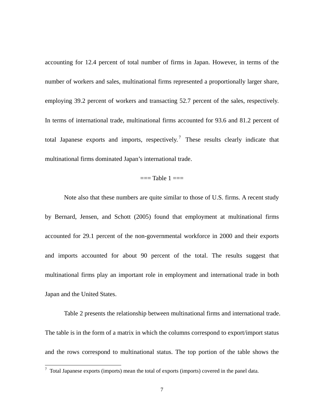accounting for 12.4 percent of total number of firms in Japan. However, in terms of the number of workers and sales, multinational firms represented a proportionally larger share, employing 39.2 percent of workers and transacting 52.7 percent of the sales, respectively. In terms of international trade, multinational firms accounted for 93.6 and 81.2 percent of total Japanese exports and imports, respectively.<sup>[7](#page-8-0)</sup> These results clearly indicate that multinational firms dominated Japan's international trade.

# $==$ Table  $1 ==$

Note also that these numbers are quite similar to those of U.S. firms. A recent study by Bernard, Jensen, and Schott (2005) found that employment at multinational firms accounted for 29.1 percent of the non-governmental workforce in 2000 and their exports and imports accounted for about 90 percent of the total. The results suggest that multinational firms play an important role in employment and international trade in both Japan and the United States.

Table 2 presents the relationship between multinational firms and international trade. The table is in the form of a matrix in which the columns correspond to export/import status and the rows correspond to multinational status. The top portion of the table shows the

<span id="page-8-0"></span> $\frac{1}{7}$  Total Japanese exports (imports) mean the total of exports (imports) covered in the panel data.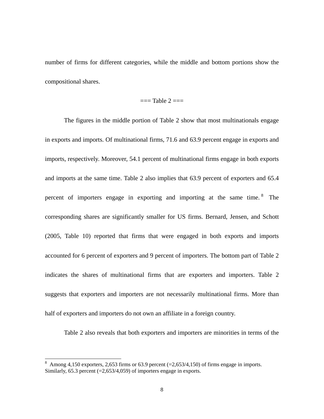number of firms for different categories, while the middle and bottom portions show the compositional shares.

### $==$ Table  $2 ==$

The figures in the middle portion of Table 2 show that most multinationals engage in exports and imports. Of multinational firms, 71.6 and 63.9 percent engage in exports and imports, respectively. Moreover, 54.1 percent of multinational firms engage in both exports and imports at the same time. Table 2 also implies that 63.9 percent of exporters and 65.4 percent of importers engage in exporting and importing at the same time. [8](#page-9-0) The corresponding shares are significantly smaller for US firms. Bernard, Jensen, and Schott (2005, Table 10) reported that firms that were engaged in both exports and imports accounted for 6 percent of exporters and 9 percent of importers. The bottom part of Table 2 indicates the shares of multinational firms that are exporters and importers. Table 2 suggests that exporters and importers are not necessarily multinational firms. More than half of exporters and importers do not own an affiliate in a foreign country.

Table 2 also reveals that both exporters and importers are minorities in terms of the

<span id="page-9-0"></span> $\frac{8}{\text{Among }4,150 \text{ exporters, }2,653 \text{ firms or }63.9 \text{ percent } (=2,653/4,150) \text{ of firms engage in imports.}}$ Similarly,  $65.3$  percent ( $= 2,653/4,059$ ) of importers engage in exports.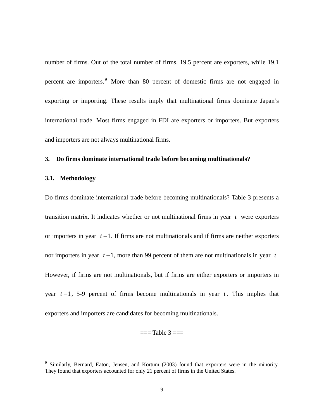number of firms. Out of the total number of firms, 19.5 percent are exporters, while 19.1 percent are importers.<sup>[9](#page-10-0)</sup> More than 80 percent of domestic firms are not engaged in exporting or importing. These results imply that multinational firms dominate Japan's international trade. Most firms engaged in FDI are exporters or importers. But exporters and importers are not always multinational firms.

### **3. Do firms dominate international trade before becoming multinationals?**

### **3.1. Methodology**

-

Do firms dominate international trade before becoming multinationals? Table 3 presents a transition matrix. It indicates whether or not multinational firms in year  $t$  were exporters or importers in year  $t - 1$ . If firms are not multinationals and if firms are neither exporters nor importers in year  $t-1$ , more than 99 percent of them are not multinationals in year  $t$ . However, if firms are not multinationals, but if firms are either exporters or importers in year  $t-1$ , 5-9 percent of firms become multinationals in year  $t$ . This implies that exporters and importers are candidates for becoming multinationals.

 $==$ Table  $3 ==$ 

<span id="page-10-0"></span><sup>9</sup> Similarly, Bernard, Eaton, Jensen, and Kortum (2003) found that exporters were in the minority. They found that exporters accounted for only 21 percent of firms in the United States.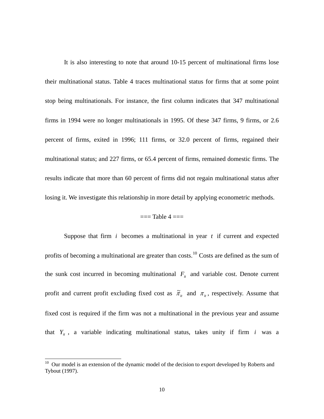It is also interesting to note that around 10-15 percent of multinational firms lose their multinational status. Table 4 traces multinational status for firms that at some point stop being multinationals. For instance, the first column indicates that 347 multinational firms in 1994 were no longer multinationals in 1995. Of these 347 firms, 9 firms, or 2.6 percent of firms, exited in 1996; 111 firms, or 32.0 percent of firms, regained their multinational status; and 227 firms, or 65.4 percent of firms, remained domestic firms. The results indicate that more than 60 percent of firms did not regain multinational status after losing it. We investigate this relationship in more detail by applying econometric methods.

# $=$  $=$ Table  $4 =$  $=$

Suppose that firm  $i$  becomes a multinational in year  $t$  if current and expected profits of becoming a multinational are greater than costs.<sup>[10](#page-11-0)</sup> Costs are defined as the sum of the sunk cost incurred in becoming multinational  $F_{it}$  and variable cost. Denote current profit and current profit excluding fixed cost as  $\tilde{\pi}_{it}$  and  $\pi_{it}$ , respectively. Assume that fixed cost is required if the firm was not a multinational in the previous year and assume that  $Y_{it}$ , a variable indicating multinational status, takes unity if firm *i* was a

-

<span id="page-11-0"></span> $10$  Our model is an extension of the dynamic model of the decision to export developed by Roberts and Tybout (1997).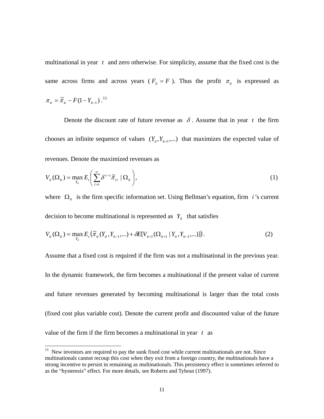multinational in year  $t$  and zero otherwise. For simplicity, assume that the fixed cost is the same across firms and across years ( $F_{it} = F$ ). Thus the profit  $\pi_{it}$  is expressed as  $\pi_{it} = \tilde{\pi}_{it} - F(1 - Y_{it-1})$ .<sup>[11](#page-12-0)</sup>

Denote the discount rate of future revenue as  $\delta$ . Assume that in year t the firm chooses an infinite sequence of values  $(Y_{i}, Y_{i+1}, \ldots)$  that maximizes the expected value of revenues. Denote the maximized revenues as

$$
V_{ii}(\Omega_{ii}) = \max_{Y_{ii}} E_i \left( \sum_{\tau=t}^{\infty} \delta^{\tau-t} \tilde{\pi}_{i\tau} \mid \Omega_{ii} \right),
$$
 (1)

where  $\Omega_{it}$  is the firm specific information set. Using Bellman's equation, firm *i*'s current decision to become multinational is represented as  $Y_{it}$  that satisfies

$$
V_{it}(\Omega_{it}) = \max_{Y_{it}} E_t(\tilde{\pi}_{it}(Y_{it}, Y_{it-1}, \dots) + \delta E[V_{it+1}(\Omega_{it+1} | Y_{it}, Y_{it-1}, \dots)])
$$
 (2)

Assume that a fixed cost is required if the firm was not a multinational in the previous year. In the dynamic framework, the firm becomes a multinational if the present value of current and future revenues generated by becoming multinational is larger than the total costs (fixed cost plus variable cost). Denote the current profit and discounted value of the future value of the firm if the firm becomes a multinational in year *t* as

<u>.</u>

<span id="page-12-0"></span> $11$  New investors are required to pay the sunk fixed cost while current multinationals are not. Since multinationals cannot recoup this cost when they exit from a foreign country, the multinationals have a strong incentive to persist in remaining as multinationals. This persistency effect is sometimes referred to as the "hysteresis" effect. For more details, see Roberts and Tybout (1997).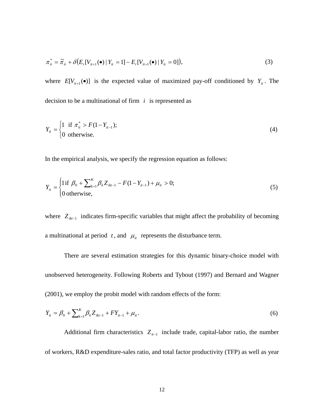$$
\pi_{it}^* = \tilde{\pi}_{it} + \delta \big( E_t [V_{it+1}(\bullet) \mid Y_{it} = 1] - E_t [V_{it+1}(\bullet) \mid Y_{it} = 0] \big), \tag{3}
$$

where  $E[V_{i+1}(\bullet)]$  is the expected value of maximized pay-off conditioned by  $Y_{i}$ . The decision to be a multinational of firm  $i$  is represented as

$$
Y_{it} = \begin{cases} 1 & \text{if } \pi_{it}^{*} > F(1 - Y_{it-1}); \\ 0 & \text{otherwise.} \end{cases}
$$
 (4)

In the empirical analysis, we specify the regression equation as follows:

$$
Y_{ii} = \begin{cases} 1 \text{ if } \beta_0 + \sum_{k=1}^{K} \beta_k Z_{ikt-1} - F(1 - Y_{it-1}) + \mu_{it} > 0; \\ 0 \text{ otherwise,} \end{cases}
$$
 (5)

where  $Z_{ik-1}$  indicates firm-specific variables that might affect the probability of becoming a multinational at period  $t$ , and  $\mu_i$  represents the disturbance term.

There are several estimation strategies for this dynamic binary-choice model with unobserved heterogeneity. Following Roberts and Tybout (1997) and Bernard and Wagner (2001), we employ the probit model with random effects of the form:

$$
Y_{it} = \beta_0 + \sum_{k=1}^{K} \beta_k Z_{ikt-1} + FY_{it-1} + \mu_{it}.
$$
 (6)

Additional firm characteristics  $Z_{it-1}$  include trade, capital-labor ratio, the number of workers, R&D expenditure-sales ratio, and total factor productivity (TFP) as well as year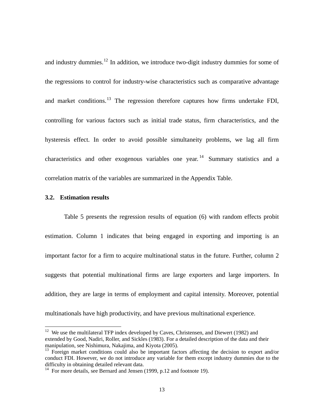and industry dummies.<sup>[12](#page-14-0)</sup> In addition, we introduce two-digit industry dummies for some of the regressions to control for industry-wise characteristics such as comparative advantage and market conditions.<sup>[13](#page-14-1)</sup> The regression therefore captures how firms undertake FDI, controlling for various factors such as initial trade status, firm characteristics, and the hysteresis effect. In order to avoid possible simultaneity problems, we lag all firm characteristics and other exogenous variables one year.<sup>[14](#page-14-2)</sup> Summary statistics and a correlation matrix of the variables are summarized in the Appendix Table.

### **3.2. Estimation results**

-

Table 5 presents the regression results of equation (6) with random effects probit estimation. Column 1 indicates that being engaged in exporting and importing is an important factor for a firm to acquire multinational status in the future. Further, column 2 suggests that potential multinational firms are large exporters and large importers. In addition, they are large in terms of employment and capital intensity. Moreover, potential multinationals have high productivity, and have previous multinational experience.

<span id="page-14-0"></span> $12$  We use the multilateral TFP index developed by Caves, Christensen, and Diewert (1982) and extended by Good, Nadiri, Roller, and Sickles (1983). For a detailed description of the data and their manipulation, see Nishimura, Nakajima, and Kiyota (2005).

<span id="page-14-1"></span> $^{13}$  Foreign market conditions could also be important factors affecting the decision to export and/or conduct FDI. However, we do not introduce any variable for them except industry dummies due to the difficulty in obtaining detailed relevant data.

<span id="page-14-2"></span> $14$  For more details, see Bernard and Jensen (1999, p.12 and footnote 19).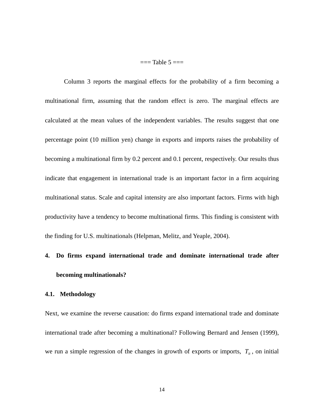$==$ Table 5 $==$ 

Column 3 reports the marginal effects for the probability of a firm becoming a multinational firm, assuming that the random effect is zero. The marginal effects are calculated at the mean values of the independent variables. The results suggest that one percentage point (10 million yen) change in exports and imports raises the probability of becoming a multinational firm by 0.2 percent and 0.1 percent, respectively. Our results thus indicate that engagement in international trade is an important factor in a firm acquiring multinational status. Scale and capital intensity are also important factors. Firms with high productivity have a tendency to become multinational firms. This finding is consistent with the finding for U.S. multinationals (Helpman, Melitz, and Yeaple, 2004).

# **4. Do firms expand international trade and dominate international trade after becoming multinationals?**

# **4.1. Methodology**

Next, we examine the reverse causation: do firms expand international trade and dominate international trade after becoming a multinational? Following Bernard and Jensen (1999), we run a simple regression of the changes in growth of exports or imports,  $T_{ii}$ , on initial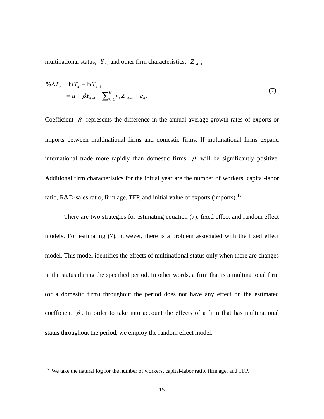multinational status,  $Y_{it}$ , and other firm characteristics,  $Z_{ikt-1}$ :

$$
\% \Delta T_{it} = \ln T_{it} - \ln T_{it-1} \n= \alpha + \beta Y_{it-1} + \sum_{k=1}^{K} \gamma_k Z_{ikt-1} + \varepsilon_{it}.
$$
\n(7)

Coefficient  $\beta$  represents the difference in the annual average growth rates of exports or imports between multinational firms and domestic firms. If multinational firms expand international trade more rapidly than domestic firms,  $\beta$  will be significantly positive. Additional firm characteristics for the initial year are the number of workers, capital-labor ratio, R&D-sales ratio, firm age, TFP, and initial value of exports (imports).<sup>[15](#page-16-0)</sup>

There are two strategies for estimating equation (7): fixed effect and random effect models. For estimating (7), however, there is a problem associated with the fixed effect model. This model identifies the effects of multinational status only when there are changes in the status during the specified period. In other words, a firm that is a multinational firm (or a domestic firm) throughout the period does not have any effect on the estimated coefficient  $\beta$ . In order to take into account the effects of a firm that has multinational status throughout the period, we employ the random effect model.

<u>.</u>

<span id="page-16-0"></span><sup>&</sup>lt;sup>15</sup> We take the natural log for the number of workers, capital-labor ratio, firm age, and TFP.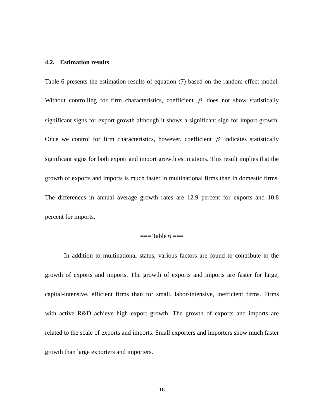### **4.2. Estimation results**

Table 6 presents the estimation results of equation (7) based on the random effect model. Without controlling for firm characteristics, coefficient  $\beta$  does not show statistically significant signs for export growth although it shows a significant sign for import growth. Once we control for firm characteristics, however, coefficient  $\beta$  indicates statistically significant signs for both export and import growth estimations. This result implies that the growth of exports and imports is much faster in multinational firms than in domestic firms. The differences in annual average growth rates are 12.9 percent for exports and 10.8 percent for imports.

# $==$ Table 6  $==$

In addition to multinational status, various factors are found to contribute to the growth of exports and imports. The growth of exports and imports are faster for large, capital-intensive, efficient firms than for small, labor-intensive, inefficient firms. Firms with active R&D achieve high export growth. The growth of exports and imports are related to the scale of exports and imports. Small exporters and importers show much faster growth than large exporters and importers.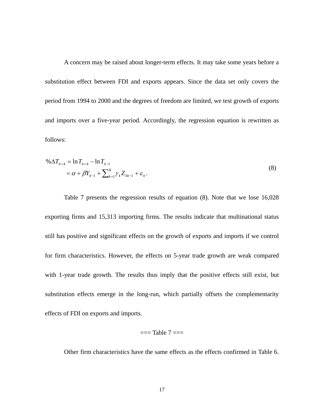A concern may be raised about longer-term effects. It may take some years before a substitution effect between FDI and exports appears. Since the data set only covers the period from 1994 to 2000 and the degrees of freedom are limited, we test growth of exports and imports over a five-year period. Accordingly, the regression equation is rewritten as follows:

$$
\% \Delta T_{it+4} = \ln T_{it+4} - \ln T_{it-1}
$$
  
=  $\alpha + \beta Y_{it-1} + \sum_{k=1}^{K} \gamma_k Z_{ikt-1} + \varepsilon_{it}$ . (8)

Table 7 presents the regression results of equation (8). Note that we lose 16,028 exporting firms and 15,313 importing firms. The results indicate that multinational status still has positive and significant effects on the growth of exports and imports if we control for firm characteristics. However, the effects on 5-year trade growth are weak compared with 1-year trade growth. The results thus imply that the positive effects still exist, but substitution effects emerge in the long-run, which partially offsets the complementarity effects of FDI on exports and imports.

### $==$ Table  $7 ==$

Other firm characteristics have the same effects as the effects confirmed in Table 6.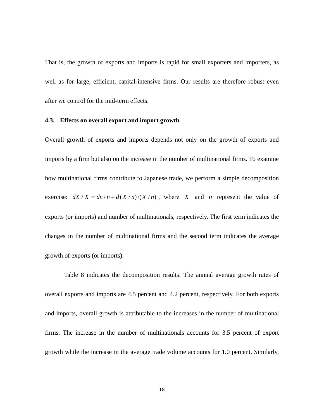That is, the growth of exports and imports is rapid for small exporters and importers, as well as for large, efficient, capital-intensive firms. Our results are therefore robust even after we control for the mid-term effects.

### **4.3. Effects on overall export and import growth**

Overall growth of exports and imports depends not only on the growth of exports and imports by a firm but also on the increase in the number of multinational firms. To examine how multinational firms contribute to Japanese trade, we perform a simple decomposition exercise:  $dX/X = dn/n + d(X/n)/(X/n)$ , where X and *n* represent the value of exports (or imports) and number of multinationals, respectively. The first term indicates the changes in the number of multinational firms and the second term indicates the average growth of exports (or imports).

 Table 8 indicates the decomposition results. The annual average growth rates of overall exports and imports are 4.5 percent and 4.2 percent, respectively. For both exports and imports, overall growth is attributable to the increases in the number of multinational firms. The increase in the number of multinationals accounts for 3.5 percent of export growth while the increase in the average trade volume accounts for 1.0 percent. Similarly,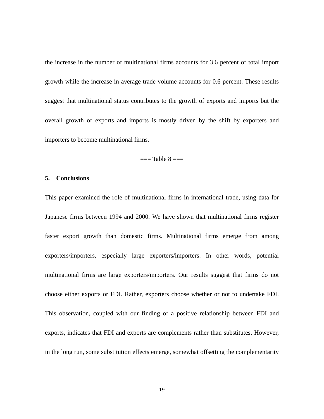the increase in the number of multinational firms accounts for 3.6 percent of total import growth while the increase in average trade volume accounts for 0.6 percent. These results suggest that multinational status contributes to the growth of exports and imports but the overall growth of exports and imports is mostly driven by the shift by exporters and importers to become multinational firms.

## $==$ Table  $8 ==$

# **5. Conclusions**

This paper examined the role of multinational firms in international trade, using data for Japanese firms between 1994 and 2000. We have shown that multinational firms register faster export growth than domestic firms. Multinational firms emerge from among exporters/importers, especially large exporters/importers. In other words, potential multinational firms are large exporters/importers. Our results suggest that firms do not choose either exports or FDI. Rather, exporters choose whether or not to undertake FDI. This observation, coupled with our finding of a positive relationship between FDI and exports, indicates that FDI and exports are complements rather than substitutes. However, in the long run, some substitution effects emerge, somewhat offsetting the complementarity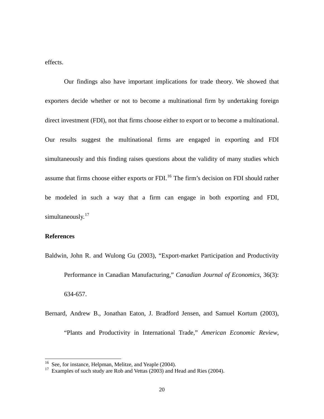effects.

Our findings also have important implications for trade theory. We showed that exporters decide whether or not to become a multinational firm by undertaking foreign direct investment (FDI), not that firms choose either to export or to become a multinational. Our results suggest the multinational firms are engaged in exporting and FDI simultaneously and this finding raises questions about the validity of many studies which assume that firms choose either exports or FDI.<sup>[16](#page-21-0)</sup> The firm's decision on FDI should rather be modeled in such a way that a firm can engage in both exporting and FDI, simultaneously.<sup>[17](#page-21-1)</sup>

# **References**

-

Baldwin, John R. and Wulong Gu (2003), "Export-market Participation and Productivity Performance in Canadian Manufacturing," *Canadian Journal of Economics*, 36(3): 634-657.

Bernard, Andrew B., Jonathan Eaton, J. Bradford Jensen, and Samuel Kortum (2003), "Plants and Productivity in International Trade," *American Economic Review*,

<span id="page-21-0"></span><sup>&</sup>lt;sup>16</sup> See, for instance, Helpman, Melitze, and Yeaple (2004).

<span id="page-21-1"></span> $17$  Examples of such study are Rob and Vettas (2003) and Head and Ries (2004).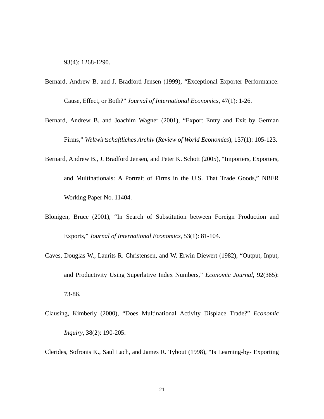93(4): 1268-1290.

- Bernard, Andrew B. and J. Bradford Jensen (1999), "Exceptional Exporter Performance: Cause, Effect, or Both?" *Journal of International Economics*, 47(1): 1-26.
- Bernard, Andrew B. and Joachim Wagner (2001), "Export Entry and Exit by German Firms," *Weltwirtschaftliches Archiv* (*Review of World Economics*), 137(1): 105-123.
- Bernard, Andrew B., J. Bradford Jensen, and Peter K. Schott (2005), "Importers, Exporters, and Multinationals: A Portrait of Firms in the U.S. That Trade Goods," NBER Working Paper No. 11404.
- Blonigen, Bruce (2001), "In Search of Substitution between Foreign Production and Exports," *Journal of International Economics*, 53(1): 81-104.
- Caves, Douglas W., Laurits R. Christensen, and W. Erwin Diewert (1982), "Output, Input, and Productivity Using Superlative Index Numbers," *Economic Journal*, 92(365): 73-86.
- Clausing, Kimberly (2000), "Does Multinational Activity Displace Trade?" *Economic Inquiry*, 38(2): 190-205.

Clerides, Sofronis K., Saul Lach, and James R. Tybout (1998), "Is Learning-by- Exporting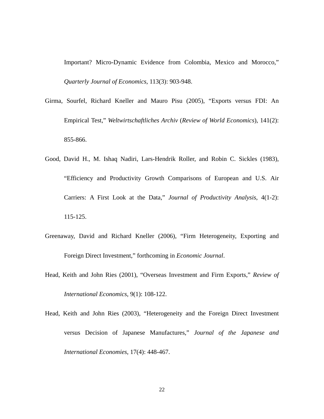Important? Micro-Dynamic Evidence from Colombia, Mexico and Morocco," *Quarterly Journal of Economics*, 113(3): 903-948.

- Girma, Sourfel, Richard Kneller and Mauro Pisu (2005), "Exports versus FDI: An Empirical Test," *Weltwirtschaftliches Archiv* (*Review of World Economics*), 141(2): 855-866.
- Good, David H., M. Ishaq Nadiri, Lars-Hendrik Roller, and Robin C. Sickles (1983), "Efficiency and Productivity Growth Comparisons of European and U.S. Air Carriers: A First Look at the Data," *Journal of Productivity Analysis*, 4(1-2): 115-125.
- Greenaway, David and Richard Kneller (2006), "Firm Heterogeneity, Exporting and Foreign Direct Investment," forthcoming in *Economic Journal*.
- Head, Keith and John Ries (2001), "Overseas Investment and Firm Exports," *Review of International Economics*, 9(1): 108-122.
- Head, Keith and John Ries (2003), "Heterogeneity and the Foreign Direct Investment versus Decision of Japanese Manufactures," *Journal of the Japanese and International Economies*, 17(4): 448-467.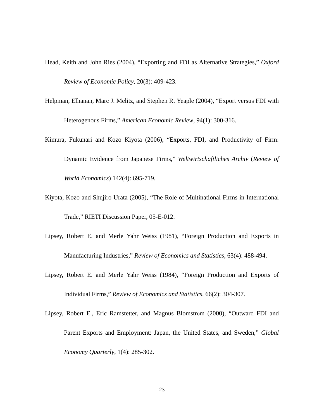- Head, Keith and John Ries (2004), "Exporting and FDI as Alternative Strategies," *Oxford Review of Economic Policy*, 20(3): 409-423.
- Helpman, Elhanan, Marc J. Melitz, and Stephen R. Yeaple (2004), "Export versus FDI with Heterogenous Firms," *American Economic Review*, 94(1): 300-316.
- Kimura, Fukunari and Kozo Kiyota (2006), "Exports, FDI, and Productivity of Firm: Dynamic Evidence from Japanese Firms," *Weltwirtschaftliches Archiv* (*Review of World Economics*) 142(4): 695-719.
- Kiyota, Kozo and Shujiro Urata (2005), "The Role of Multinational Firms in International Trade," RIETI Discussion Paper, 05-E-012.
- Lipsey, Robert E. and Merle Yahr Weiss (1981), "Foreign Production and Exports in Manufacturing Industries," *Review of Economics and Statistics*, 63(4): 488-494.
- Lipsey, Robert E. and Merle Yahr Weiss (1984), "Foreign Production and Exports of Individual Firms," *Review of Economics and Statistics*, 66(2): 304-307.
- Lipsey, Robert E., Eric Ramstetter, and Magnus Blomström (2000), "Outward FDI and Parent Exports and Employment: Japan, the United States, and Sweden," *Global Economy Quarterly*, 1(4): 285-302.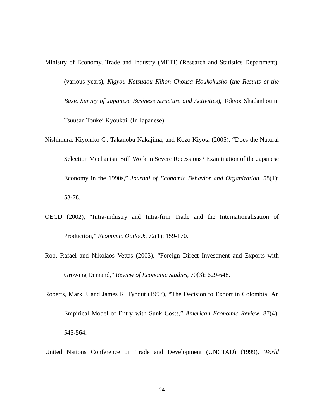- Ministry of Economy, Trade and Industry (METI) (Research and Statistics Department). (various years), *Kigyou Katsudou Kihon Chousa Houkokusho* (*the Results of the Basic Survey of Japanese Business Structure and Activities*), Tokyo: Shadanhoujin Tsuusan Toukei Kyoukai. (In Japanese)
- Nishimura, Kiyohiko G., Takanobu Nakajima, and Kozo Kiyota (2005), "Does the Natural Selection Mechanism Still Work in Severe Recessions? Examination of the Japanese Economy in the 1990s," *Journal of Economic Behavior and Organization*, 58(1): 53-78.
- OECD (2002), "Intra-industry and Intra-firm Trade and the Internationalisation of Production," *Economic Outlook*, 72(1): 159-170.
- Rob, Rafael and Nikolaos Vettas (2003), "Foreign Direct Investment and Exports with Growing Demand," *Review of Economic Studies*, 70(3): 629-648.
- Roberts, Mark J. and James R. Tybout (1997), "The Decision to Export in Colombia: An Empirical Model of Entry with Sunk Costs," *American Economic Review*, 87(4): 545-564.
- United Nations Conference on Trade and Development (UNCTAD) (1999), *World*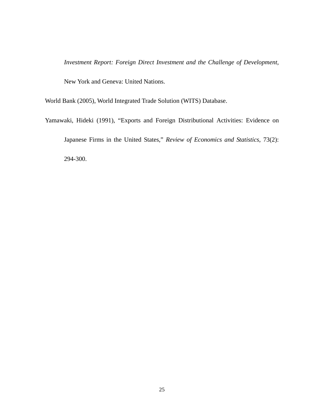*Investment Report: Foreign Direct Investment and the Challenge of Development*,

New York and Geneva: United Nations.

World Bank (2005), World Integrated Trade Solution (WITS) Database.

Yamawaki, Hideki (1991), "Exports and Foreign Distributional Activities: Evidence on Japanese Firms in the United States," *Review of Economics and Statistics*, 73(2): 294-300.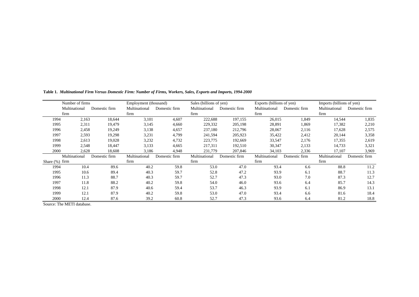| Number of firms   |               | Employment (thousand) |               | Sales (billions of yen) |               | Exports (billions of yen) |               | Imports (billions of yen) |               |               |
|-------------------|---------------|-----------------------|---------------|-------------------------|---------------|---------------------------|---------------|---------------------------|---------------|---------------|
|                   | Multinational | Domestic firm         | Multinational | Domestic firm           | Multinational | Domestic firm             | Multinational | Domestic firm             | Multinational | Domestic firm |
|                   | firm          |                       | firm          |                         | firm          |                           | firm          |                           | firm          |               |
| 1994              | 2,163         | 18,644                | 3,101         | 4,607                   | 222,688       | 197,155                   | 26,015        | 1,849                     | 14,544        | 1,835         |
| 1995              | 2,311         | 19,479                | 3,145         | 4,660                   | 229,332       | 205,198                   | 28,891        | 1,869                     | 17,382        | 2,210         |
| 1996              | 2,458         | 19,249                | 3,138         | 4,657                   | 237,180       | 212,796                   | 28,067        | 2,116                     | 17,628        | 2,575         |
| 1997              | 2,593         | 19,298                | 3,231         | 4,799                   | 241,594       | 205,923                   | 35,422        | 2,412                     | 20,144        | 3,358         |
| 1998              | 2,613         | 19,028                | 3,232         | 4,732                   | 223,775       | 192,669                   | 33,547        | 2,176                     | 17,355        | 2,619         |
| 1999              | 2,548         | 18,447                | 3,133         | 4,665                   | 217,311       | 192,510                   | 30,347        | 2,133                     | 14,733        | 3,321         |
| 2000              | 2,628         | 18,608                | 3,186         | 4,948                   | 231,779       | 207,846                   | 34,103        | 2,336                     | 17,107        | 3,969         |
|                   | Multinational | Domestic firm         | Multinational | Domestic firm           | Multinational | Domestic firm             | Multinational | Domestic firm             | Multinational | Domestic firm |
| Share $(\%)$ firm |               |                       | firm          |                         | firm          |                           | firm          |                           | firm          |               |
| 1994              | 10.4          | 89.6                  | 40.2          | 59.8                    | 53.0          | 47.0                      | 93.4          | 6.6                       | 88.8          | 11.2          |
| 1995              | 10.6          | 89.4                  | 40.3          | 59.7                    | 52.8          | 47.2                      | 93.9          | 6.1                       | 88.7          | 11.3          |
| 1996              | 11.3          | 88.7                  | 40.3          | 59.7                    | 52.7          | 47.3                      | 93.0          | 7.0                       | 87.3          | 12.7          |
| 1997              | 11.8          | 88.2                  | 40.2          | 59.8                    | 54.0          | 46.0                      | 93.6          | 6.4                       | 85.7          | 14.3          |
| 1998              | 12.1          | 87.9                  | 40.6          | 59.4                    | 53.7          | 46.3                      | 93.9          | 6.1                       | 86.9          | 13.1          |
| 1999              | 12.1          | 87.9                  | 40.2          | 59.8                    | 53.0          | 47.0                      | 93.4          | 6.6                       | 81.6          | 18.4          |
| 2000              | 12.4          | 87.6                  | 39.2          | 60.8                    | 52.7          | 47.3                      | 93.6          | 6.4                       | 81.2          | 18.8          |

**Table 1.** *Multinational Firm Versus Domestic Firm: Number of Firms, Workers, Sales, Exports and Imports, 1994-2000*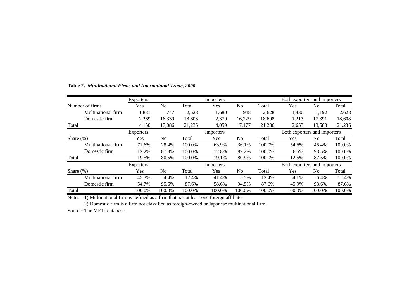|                    | Exporters        |                |        | Importers |                |                              | Both exporters and importers |        |        |  |
|--------------------|------------------|----------------|--------|-----------|----------------|------------------------------|------------------------------|--------|--------|--|
| Number of firms    | Yes              | N <sub>0</sub> | Total  | Yes       | No             | Total                        | Yes                          | No.    | Total  |  |
| Multinational firm | 1,881            | 747            | 2,628  | 1,680     | 948            | 2,628                        | 1,436                        | 1,192  | 2,628  |  |
| Domestic firm      | 2.269            | 16,339         | 18.608 | 2,379     | 16,229         | 18.608                       | 1.217                        | 17.391 | 18,608 |  |
| Total              | 4,150            | 17,086         | 21,236 | 4,059     | 17,177         | 21,236                       | 2,653                        | 18,583 | 21,236 |  |
|                    | <b>Exporters</b> |                |        | Importers |                | Both exporters and importers |                              |        |        |  |
| Share $(\%)$       | Yes              | No             | Total  | Yes       | N <sub>0</sub> | Total                        | Yes                          | No.    | Total  |  |
| Multinational firm | 71.6%            | 28.4%          | 100.0% | 63.9%     | 36.1%          | 100.0%                       | 54.6%                        | 45.4%  | 100.0% |  |
| Domestic firm      | 12.2%            | 87.8%          | 100.0% | 12.8%     | 87.2%          | 100.0%                       | 6.5%                         | 93.5%  | 100.0% |  |
| Total              | 19.5%            | 80.5%          | 100.0% | 19.1%     | 80.9%          | 100.0%                       | 12.5%                        | 87.5%  | 100.0% |  |
|                    | Exporters        |                |        | Importers |                |                              | Both exporters and importers |        |        |  |
| Share $(\%)$       | Yes              | N <sub>o</sub> | Total  | Yes       | N <sub>0</sub> | Total                        | Yes                          | No     | Total  |  |
| Multinational firm | 45.3%            | 4.4%           | 12.4%  | 41.4%     | 5.5%           | 12.4%                        | 54.1%                        | 6.4%   | 12.4%  |  |
| Domestic firm      | 54.7%            | 95.6%          | 87.6%  | 58.6%     | 94.5%          | 87.6%                        | 45.9%                        | 93.6%  | 87.6%  |  |
| Total              | 100.0%           | 100.0%         | 100.0% | 100.0%    | 100.0%         | 100.0%                       | 100.0%                       | 100.0% | 100.0% |  |

# **Table 2.** *Multinational Firms and International Trade, 2000*

Notes: 1) Multinational firm is defined as a firm that has at least one foreign affiliate.

2) Domestic firm is a firm not classified as foreign-owned or Japanese multinational firm.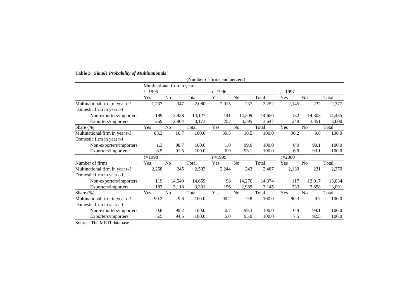|                                  |            |                              |        | (Number of firms and percent) |                |        |            |                |        |
|----------------------------------|------------|------------------------------|--------|-------------------------------|----------------|--------|------------|----------------|--------|
|                                  |            | Multinational firm in year t |        |                               |                |        |            |                |        |
|                                  | $t = 1995$ |                              |        | $t = 1996$                    |                |        | $t = 1997$ |                |        |
|                                  | Yes        | N <sub>o</sub>               | Total  | Yes                           | N <sub>o</sub> | Total  | Yes        | N <sub>o</sub> | Total  |
| Multinational firm in year $t-1$ | 1,733      | 347                          | 2,080  | 2,015                         | 237            | 2,252  | 2,145      | 232            | 2,377  |
| Domestic firm in year $t-1$      |            |                              |        |                               |                |        |            |                |        |
| Non-exporters/importers          | 189        | 13,938                       | 14,127 | 141                           | 14,509         | 14,650 | 132        | 14,303         | 14,435 |
| Exporters/importers              | 269        | 2,904                        | 3,173  | 252                           | 3,395          | 3,647  | 249        | 3,351          | 3,600  |
| Share $(\%)$                     | Yes        | No                           | Total  | Yes                           | N <sub>o</sub> | Total  | Yes        | No             | Total  |
| Multinational firm in year $t-1$ | 83.3       | 16.7                         | 100.0  | 89.5                          | 10.5           | 100.0  | 90.2       | 9.8            | 100.0  |
| Domestic firm in year $t-1$      |            |                              |        |                               |                |        |            |                |        |
| Non-exporters/importers          | 1.3        | 98.7                         | 100.0  | 1.0                           | 99.0           | 100.0  | 0.9        | 99.1           | 100.0  |
| Exporters/importers              | 8.5        | 91.5                         | 100.0  | 6.9                           | 93.1           | 100.0  | 6.9        | 93.1           | 100.0  |
|                                  | $t = 1998$ |                              |        | $t = 1999$                    |                |        | $t = 2000$ |                |        |
| Number of firms                  | Yes        | N <sub>0</sub>               | Total  | Yes                           | N <sub>0</sub> | Total  | Yes        | N <sub>0</sub> | Total  |
| Multinational firm in year $t-1$ | 2,258      | 245                          | 2,503  | 2,244                         | 243            | 2,487  | 2,139      | 231            | 2,370  |
| Domestic firm in year $t-1$      |            |                              |        |                               |                |        |            |                |        |
| Non-exporters/importers          | 119        | 14,540                       | 14,659 | 98                            | 14,276         | 14,374 | 117        | 12,917         | 13,034 |
| Exporters/importers              | 183        | 3,118                        | 3,301  | 156                           | 2,989          | 3,145  | 233        | 2,858          | 3,091  |
| Share $(\%)$                     | Yes        | No                           | Total  | Yes                           | N <sub>o</sub> | Total  | Yes        | No             | Total  |
| Multinational firm in year $t-1$ | 90.2       | 9.8                          | 100.0  | 90.2                          | 9.8            | 100.0  | 90.3       | 9.7            | 100.0  |
| Domestic firm in year $t-1$      |            |                              |        |                               |                |        |            |                |        |
| Non-exporters/importers          | 0.8        | 99.2                         | 100.0  | 0.7                           | 99.3           | 100.0  | 0.9        | 99.1           | 100.0  |
| Exporters/importers              | 5.5        | 94.5                         | 100.0  | 5.0                           | 95.0           | 100.0  | 7.5        | 92.5           | 100.0  |
| $T = 1$                          |            |                              |        |                               |                |        |            |                |        |

### **Table 3.** *Simple Probability of Multinationals*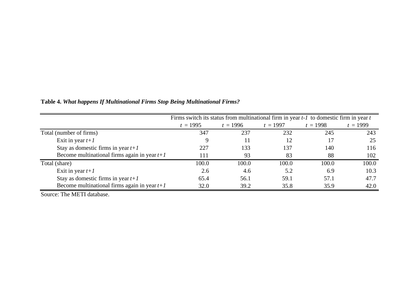|                                                |            | Firms switch its status from multinational firm in year $t-1$ to domestic firm in year $t$ |            |            |            |  |  |  |
|------------------------------------------------|------------|--------------------------------------------------------------------------------------------|------------|------------|------------|--|--|--|
|                                                | $t = 1995$ | $t = 1996$                                                                                 | $t = 1997$ | $t = 1998$ | $t = 1999$ |  |  |  |
| Total (number of firms)                        | 347        | 237                                                                                        | 232        | 245        | 243        |  |  |  |
| Exit in year $t+1$                             |            |                                                                                            |            | 17         | 25         |  |  |  |
| Stay as domestic firms in year $t+1$           | 227        | 133                                                                                        | 137        | 140        | 116        |  |  |  |
| Become multinational firms again in year $t+1$ | 111        | 93                                                                                         | 83         | 88         | 102        |  |  |  |
| Total (share)                                  | 100.0      | 100.0                                                                                      | 100.0      | 100.0      | 100.0      |  |  |  |
| Exit in year $t+1$                             | 2.6        | 4.6                                                                                        | 5.2        | 6.9        | 10.3       |  |  |  |
| Stay as domestic firms in year $t+1$           | 65.4       | 56.1                                                                                       | 59.1       | 57.1       | 47.7       |  |  |  |
| Become multinational firms again in year $t+1$ | 32.0       | 39.2                                                                                       | 35.8       | 35.9       | 42.0       |  |  |  |

**Table 4.** *What happens If Multinational Firms Stop Being Multinational Firms?*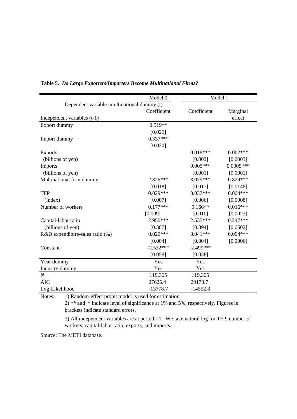|                                                                                          | Model 0     | Model 1     |             |
|------------------------------------------------------------------------------------------|-------------|-------------|-------------|
| Dependent variable: multinational dummy (t)                                              |             |             |             |
|                                                                                          | Coefficient | Coefficient | Marginal    |
| Independent variables (t-1)                                                              |             |             | effect      |
| Export dummy                                                                             | $0.519**$   |             |             |
|                                                                                          | [0.020]     |             |             |
| Import dummy                                                                             | $0.337***$  |             |             |
|                                                                                          | [0.020]     |             |             |
| <b>Exports</b>                                                                           |             | $0.018***$  | $0.002***$  |
| (billions of yen)                                                                        |             | [0.002]     | [0.0003]    |
| Imports                                                                                  |             | $0.005***$  | $0.0005***$ |
| (billions of yen)                                                                        |             | [0.001]     | [0.0001]    |
| Multinational firm dummy                                                                 | 2.826***    | 3.079***    | $0.829***$  |
|                                                                                          | [0.018]     | [0.017]     | [0.0148]    |
| <b>TFP</b>                                                                               | $0.029***$  | $0.037***$  | $0.004***$  |
| (index)                                                                                  | [0.007]     | [0.006]     | [0.0008]    |
| Number of workers                                                                        | $0.177***$  | $0.166**$   | $0.016***$  |
|                                                                                          | [0.009]     | [0.010]     | [0.0023]    |
| Capital-labor ratio                                                                      | $2.950***$  | $2.535***$  | $0.247***$  |
| (billions of yen)                                                                        | [0.387]     | [0.394]     | [0.0502]    |
| R&D expenditure-sales ratio (%)                                                          | $0.020***$  | $0.041***$  | $0.004***$  |
|                                                                                          | [0.004]     | [0.004]     | [0.0006]    |
| Constant                                                                                 | $-2.532***$ | $-2.499***$ |             |
|                                                                                          | [0.058]     | [0.058]     |             |
| Year dummy                                                                               | Yes         | Yes         |             |
| Industry dummy                                                                           | Yes         | Yes         |             |
| $\boldsymbol{N}$                                                                         | 119,305     | 119,305     |             |
| <b>AIC</b>                                                                               | 27625.4     | 29173.7     |             |
| Log-Likelihood                                                                           | $-13778.7$  | $-14552.8$  |             |
| $\left(1\right)$ P and om effect probit model is used for estimation<br>$N$ otec $\cdot$ |             |             |             |

# **Table 5.** *Do Large Exporters/Importers Become Multinational Firms?*

Notes: 1) Random-effect probit model is used for estimation.

2) \*\* and \* indicate level of significance at 1% and 5%, respectively. Figures in brackets indicate standard errors.

3) All independent variables are at period t-1. We take natural log for TFP, number of workers, capital-labor ratio, exports, and imports.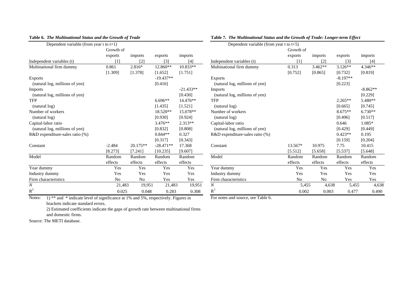| Dependent variable (from year t to $t+1$ ) |                   |            |             |             | Dependent variable (from year t to $t+5$ ) |           |                |                   |               |
|--------------------------------------------|-------------------|------------|-------------|-------------|--------------------------------------------|-----------|----------------|-------------------|---------------|
|                                            | Growth of         |            |             |             |                                            | Growth of |                |                   |               |
|                                            | exports           | imports    | exports     | imports     |                                            | exports   | imports        | exports           | imports       |
| Independent variables (t)                  | $\lceil 1 \rceil$ | $[2]$      | $[3]$       | $[4]$       | Independent variables (t)                  | [1]       | $[2]$          | $\lceil 3 \rceil$ | $[4]$         |
| Multinational firm dummy                   | 0.861             | 2.816*     | 12.860**    | 10.833**    | Multinational firm dummy                   | 0.313     | $3.462**$      | $3.126**$         | 4.346**       |
|                                            | [1.309]           | [1.378]    | [1.652]     | [1.751]     |                                            | [0.752]   | [0.865]        | [0.732]           | [0.819]       |
| Exports                                    |                   |            | $-19.437**$ |             | <b>Exports</b>                             |           |                | $-8.197**$        |               |
| (natural log, millions of yen)             |                   |            | [0.416]     |             | (natural log, millions of yen)             |           |                | [0.223]           |               |
| <b>Imports</b>                             |                   |            |             | $-21.433**$ | <b>Imports</b>                             |           |                |                   | $-8.862**$    |
| (natural log, millions of yen)             |                   |            |             | [0.430]     | (natural log, millions of yen)             |           |                |                   | [0.229]       |
| <b>TFP</b>                                 |                   |            | $6.696**$   | 14.476**    | <b>TFP</b>                                 |           |                | $2.265**$         | $5.480**$     |
| (natural log)                              |                   |            | [1.435]     | [1.521]     | (natural log)                              |           |                | [0.665]           | [0.745]       |
| Number of workers                          |                   |            | 18.520**    | 15.078**    | Number of workers                          |           |                | $8.675**$         | $6.730**$     |
| (natural log)                              |                   |            | [0.930]     | [0.924]     | (natural log)                              |           |                | [0.496]           | [0.517]       |
| Capital-labor ratio                        |                   |            | 3.476**     | $2.313**$   | Capital-labor ratio                        |           |                | 0.646             | 1.085*        |
| (natural log, millions of yen)             |                   |            | [0.832]     | [0.808]     | (natural log, millions of yen)             |           |                | [0.429]           | [0.449]       |
| R&D expenditure-sales ratio (%)            |                   |            | $0.844**$   | 0.327       | R&D expenditure-sales ratio (%)            |           |                | $0.423**$         | 0.195         |
|                                            |                   |            | [0.317]     | [0.343]     |                                            |           |                | [0.159]           | [0.204]       |
| Constant                                   | $-2.484$          | $20.175**$ | $-28.471**$ | 17.368      | Constant                                   | 13.567*   | 10.975         | 7.75              | 10.415        |
|                                            | [8.273]           | [7.241]    | [10.235]    | [9.607]     |                                            | [5.512]   | [5.658]        | [5.537]           | [5.648]       |
| Model                                      | Random            | Random     | Random      | Random      | Model                                      | Random    | Random         | Random            | Random        |
|                                            | effects           | effects    | effects     | effects     |                                            | effects   | effects        | effects           | effects       |
| Year dummy                                 | Yes               | Yes        | Yes         | Yes         | Year dummy                                 | Yes       | Yes            | Yes               | Yes           |
| Industry dummy                             | Yes               | Yes        | Yes         | Yes         | Industry dummy                             | Yes       | Yes            | Yes               | Yes           |
| Firm characteristics                       | N <sub>0</sub>    | No         | Yes         | Yes         | Firm characteristics                       | No        | N <sub>0</sub> | Yes               | Yes           |
| $\boldsymbol{N}$                           | 21,483            | 19,951     | 21,483      | 19,951      | $\boldsymbol{N}$                           | 5,455     | 4,638          | 5,455             | $\mathbf{4},$ |
| $R^2$                                      | 0.025             | 0.048      | 0.283       | 0.308       | $R^2$                                      | 0.002     | 0.003          | 0.477             | 0.4           |

#### **Table 6.** *The Multinational Status and the Growth of Trade* **Table 7.** *The Multinational Status and the Growth of Trade: Longer-term Effect*  $\underline{\text{Denendent variable (from year to t+5)}}$

| $Depen$ uelli variable (110111 year t to $(T)$ ) |                |            |
|--------------------------------------------------|----------------|------------|
| Growth of                                        |                |            |
| exports                                          | exports        | imports    |
| [1]<br>Independent variables (t)                 | [3]            | $[4]$      |
| 0.313<br>Multinational firm dummy                | $3.126**$      | 4.346**    |
| [0.752]                                          | [0.732]        | [0.819]    |
| <b>Exports</b>                                   | $-8.197**$     |            |
| (natural log, millions of yen)                   | [0.223]        |            |
| Imports                                          |                | $-8.862**$ |
| (natural log, millions of yen)                   |                | [0.229]    |
| <b>TFP</b>                                       | $2.265**$      | 5.480**    |
| (natural log)                                    | [0.665]        | [0.745]    |
| Number of workers                                | $8.675**$      | $6.730**$  |
| (natural log)                                    | [0.496]        | [0.517]    |
| Capital-labor ratio                              | 0.646          | $1.085*$   |
| (natural log, millions of yen)                   | [0.429]        | [0.449]    |
| R&D expenditure-sales ratio (%)                  | $0.423**$      | 0.195      |
|                                                  | [0.159]        | [0.204]    |
| 13.567*<br>Constant                              | 7.75           | 10.415     |
| [5.512]                                          | [5.537]        | [5.648]    |
| Model<br>Random                                  | Random         | Random     |
| effects                                          | effects        | effects    |
| Year dummy<br>Yes                                | Yes            | Yes        |
| Industry dummy<br>Yes                            | Yes            | Yes        |
| Firm characteristics<br>N <sub>0</sub>           | Yes            | Yes        |
| $\boldsymbol{N}$<br>19,951<br>5,455              | 4,638<br>5,455 | 4,638      |
| 0.308<br>0.002                                   | 0.477<br>0.003 | 0.490      |
| $R^2$                                            |                |            |

Notes: 1) \*\* and \* indicate level of significance at 1% and 5%, respectively. Figures in For notes and source, see Table 6. brackets indicate standard errors.

2) Estimated coefficients indicate the gaps of growth rate between multinational firms and domestic firms.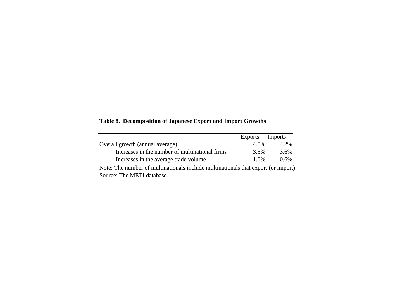**Table 8. Decomposition of Japanese Export and Import Growths**

|                                                | Exports | Imports |
|------------------------------------------------|---------|---------|
| Overall growth (annual average)                | 4.5%    | 4.2%    |
| Increases in the number of multinational firms | 3.5%    | 3.6%    |
| Increases in the average trade volume          | 1.0\%   | 0.6%    |

Note: The number of multinationals include multinationals that export (or import). Source: The METI database.